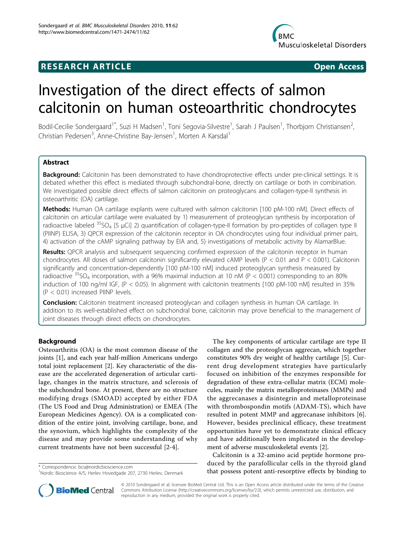## **RESEARCH ARTICLE Example 2018 CONSIDERING ACCESS**



# Investigation of the direct effects of salmon calcitonin on human osteoarthritic chondrocytes

Bodil-Cecilie Sondergaard<sup>1\*</sup>, Suzi H Madsen<sup>1</sup>, Toni Segovia-Silvestre<sup>1</sup>, Sarah J Paulsen<sup>1</sup>, Thorbjorn Christiansen<sup>2</sup> , Christian Pedersen<sup>3</sup>, Anne-Christine Bay-Jensen<sup>1</sup>, Morten A Karsdal<sup>1</sup>

## Abstract

Background: Calcitonin has been demonstrated to have chondroprotective effects under pre-clinical settings. It is debated whether this effect is mediated through subchondral-bone, directly on cartilage or both in combination. We investigated possible direct effects of salmon calcitonin on proteoglycans and collagen-type-II synthesis in osteoarthritic (OA) cartilage.

Methods: Human OA cartilage explants were cultured with salmon calcitonin [100 pM-100 nM]. Direct effects of calcitonin on articular cartilage were evaluated by 1) measurement of proteoglycan synthesis by incorporation of radioactive labeled  $35SO_4$  [5 µCi] 2) quantification of collagen-type-II formation by pro-peptides of collagen type II (PIINP) ELISA, 3) QPCR expression of the calcitonin receptor in OA chondrocytes using four individual primer pairs, 4) activation of the cAMP signaling pathway by EIA and, 5) investigations of metabolic activity by AlamarBlue.

Results: QPCR analysis and subsequent sequencing confirmed expression of the calcitonin receptor in human chondrocytes. All doses of salmon calcitonin significantly elevated cAMP levels (P < 0.01 and P < 0.001). Calcitonin significantly and concentration-dependently [100 pM-100 nM] induced proteoglycan synthesis measured by radioactive  $35SO_4$  incorporation, with a 96% maximal induction at 10 nM (P < 0.001) corresponding to an 80% induction of 100 ng/ml IGF, (P < 0.05). In alignment with calcitonin treatments [100 pM-100 nM] resulted in 35% (P < 0.01) increased PIINP levels.

**Conclusion:** Calcitonin treatment increased proteoglycan and collagen synthesis in human OA cartilage. In addition to its well-established effect on subchondral bone, calcitonin may prove beneficial to the management of joint diseases through direct effects on chondrocytes.

## **Background**

Osteoarthritis (OA) is the most common disease of the joints [[1](#page-8-0)], and each year half-million Americans undergo total joint replacement [[2](#page-8-0)]. Key characteristic of the disease are the accelerated degeneration of articular cartilage, changes in the matrix structure, and sclerosis of the subchondral bone. At present, there are no structure modifying drugs (SMOAD) accepted by either FDA (The US Food and Drug Administration) or EMEA (The European Medicines Agency). OA is a complicated condition of the entire joint, involving cartilage, bone, and the synovium, which highlights the complexity of the disease and may provide some understanding of why current treatments have not been successful [[2](#page-8-0)-[4\]](#page-8-0).

The key components of articular cartilage are type II collagen and the proteoglycan aggrecan, which together constitutes 90% dry weight of healthy cartilage [[5\]](#page-8-0). Current drug development strategies have particularly focused on inhibition of the enzymes responsible for degradation of these extra-cellular matrix (ECM) molecules, mainly the matrix metalloproteinases (MMPs) and the aggrecanases a disintegrin and metalloproteinase with thrombospondin motifs (ADAM-TS), which have resulted in potent MMP and aggrecanase inhibitors [\[6](#page-8-0)]. However, besides preclinical efficacy, these treatment opportunities have yet to demonstrate clinical efficacy and have additionally been implicated in the development of adverse musculoskeletal events [\[2](#page-8-0)].

Calcitonin is a 32-amino acid peptide hormone produced by the parafollicular cells in the thyroid gland \* Correspondence: [bcs@nordicbioscience.com](mailto:bcs@nordicbioscience.com) **and that possess potent anti-resorptive effects by binding to** \* <sup>1</sup>Nordic Bioscience A/S. Herley Hovedgade 207, 2730 Herley Denmark



© 2010 Sondergaard et al; licensee BioMed Central Ltd. This is an Open Access article distributed under the terms of the Creative Commons Attribution License [\(http://creativecommons.org/licenses/by/2.0](http://creativecommons.org/licenses/by/2.0)), which permits unrestricted use, distribution, and reproduction in any medium, provided the original work is properly cited.

<sup>&</sup>lt;sup>1</sup>Nordic Bioscience A/S, Herlev Hovedgade 207, 2730 Herlev, Denmark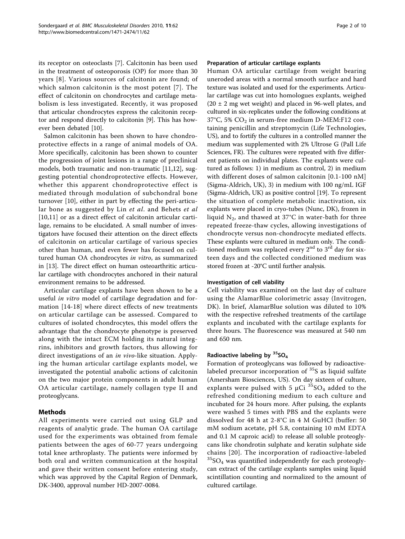its receptor on osteoclasts [\[7](#page-8-0)]. Calcitonin has been used in the treatment of osteoporosis (OP) for more than 30 years [[8](#page-8-0)]. Various sources of calcitonin are found; of which salmon calcitonin is the most potent [[7\]](#page-8-0). The effect of calcitonin on chondrocytes and cartilage metabolism is less investigated. Recently, it was proposed that articular chondrocytes express the calcitonin receptor and respond directly to calcitonin [[9\]](#page-8-0). This has however been debated [\[10](#page-8-0)].

Salmon calcitonin has been shown to have chondroprotective effects in a range of animal models of OA. More specifically, calcitonin has been shown to counter the progression of joint lesions in a range of preclinical models, both traumatic and non-traumatic [[11,12](#page-8-0)], suggesting potential chondroprotective effects. However, whether this apparent chondroprotective effect is mediated through modulation of subchondral bone turnover [[10\]](#page-8-0), either in part by effecting the peri-articular bone as suggested by Lin et al. and Behets et al. [[10,11](#page-8-0)] or as a direct effect of calcitonin articular cartilage, remains to be elucidated. A small number of investigators have focused their attention on the direct effects of calcitonin on articular cartilage of various species other than human, and even fewer has focused on cultured human OA chondrocytes in vitro, as summarized in [\[13\]](#page-8-0). The direct effect on human osteoarthritic articular cartilage with chondrocytes anchored in their natural environment remains to be addressed.

Articular cartilage explants have been shown to be a useful in vitro model of cartilage degradation and formation [[14-18\]](#page-8-0) where direct effects of new treatments on articular cartilage can be assessed. Compared to cultures of isolated chondrocytes, this model offers the advantage that the chondrocyte phenotype is preserved along with the intact ECM holding its natural integrins, inhibitors and growth factors, thus allowing for direct investigations of an in vivo-like situation. Applying the human articular cartilage explants model, we investigated the potential anabolic actions of calcitonin on the two major protein components in adult human OA articular cartilage, namely collagen type II and proteoglycans.

## Methods

All experiments were carried out using GLP and reagents of analytic grade. The human OA cartilage used for the experiments was obtained from female patients between the ages of 60-77 years undergoing total knee arthroplasty. The patients were informed by both oral and written communication at the hospital and gave their written consent before entering study, which was approved by the Capital Region of Denmark, DK-3400, approval number HD-2007-0084.

#### Preparation of articular cartilage explants

Human OA articular cartilage from weight bearing uneroded areas with a normal smooth surface and hard texture was isolated and used for the experiments. Articular cartilage was cut into homologues explants, weighed  $(20 \pm 2 \text{ mg wet weight})$  and placed in 96-well plates, and cultured in six-replicates under the following conditions at  $37^{\circ}$ C, 5% CO<sub>2</sub> in serum-free medium D-MEM:F12 containing penicillin and streptomycin (Life Technologies, US), and to fortify the cultures in a controlled manner the medium was supplemented with 2% Ultrose G (Pall Life Sciences, FR). The cultures were repeated with five different patients on individual plates. The explants were cultured as follows: 1) in medium as control, 2) in medium with different doses of salmon calcitonin [0.1-100 nM] (Sigma-Aldrich, UK), 3) in medium with 100 ng/mL IGF (Sigma-Aldrich, UK) as positive control [\[19\]](#page-8-0). To represent the situation of complete metabolic inactivation, six explants were placed in cryo-tubes (Nunc, DK), frozen in liquid  $N_2$ , and thawed at 37°C in water-bath for three repeated freeze-thaw cycles, allowing investigations of chondrocyte versus non-chondrocyte mediated effects. These explants were cultured in medium only. The conditioned medium was replaced every  $2<sup>nd</sup>$  to  $3<sup>rd</sup>$  day for sixteen days and the collected conditioned medium was stored frozen at -20°C until further analysis.

## Investigation of cell viability

Cell viability was examined on the last day of culture using the AlamarBlue colorimetric assay (Invitrogen, DK). In brief, AlamarBlue solution was diluted to 10% with the respective refreshed treatments of the cartilage explants and incubated with the cartilage explants for three hours. The fluorescence was measured at 540 nm and 650 nm.

## Radioactive labeling by  $35O<sub>4</sub>$

Formation of proteoglycans was followed by radioactivelabeled precursor incorporation of  $35S$  as liquid sulfate (Amersham Biosciences, US). On day sixteen of culture, explants were pulsed with 5  $\mu$ Ci  $35SO_4$  added to the refreshed conditioning medium to each culture and incubated for 24 hours more. After pulsing, the explants were washed 5 times with PBS and the explants were dissolved for 48 h at 2-8°C in 4 M GuHCl (buffer: 50 mM sodium acetate, pH 5.8, containing 10 mM EDTA and 0.1 M caproic acid) to release all soluble proteoglycans like chondrotin sulphate and keratin sulphate side chains [[20](#page-8-0)]. The incorporation of radioactive-labeled  ${}^{35}SO_4$  was quantified independently for each proteoglycan extract of the cartilage explants samples using liquid scintillation counting and normalized to the amount of cultured cartilage.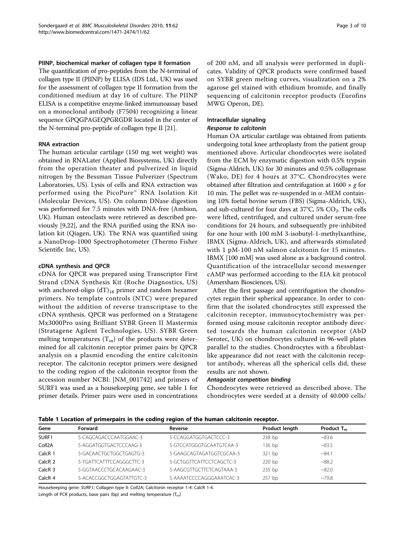#### PIINP, biochemical marker of collagen type II formation

The quantification of pro-peptides from the N-terminal of collagen type II (PIINP) by ELISA (IDS Ltd., UK) was used for the assessment of collagen type II formation from the conditioned medium at day 16 of culture. The PIINP ELISA is a competitive enzyme-linked immunoassay based on a monoclonal antibody (F7504) recognizing a linear sequence GPQGPAGEQPGRGDR located in the center of the N-terminal pro-peptide of collagen type II [\[21\]](#page-8-0).

#### RNA extraction

The human articular cartilage (150 mg wet weight) was obtained in RNALater (Applied Biosystems, UK) directly from the operation theater and pulverized in liquid nitrogen by the Bessman Tissue Pulverizer (Spectrum Laboratories, US). Lysis of cells and RNA extraction was performed using the PicoPure™ RNA Isolation Kit (Molecular Devices, US). On column DNase digestion was performed for 7.5 minutes with DNA-free (Ambion, UK). Human osteoclasts were retrieved as described previously [\[9](#page-8-0),[22](#page-8-0)], and the RNA purified using the RNA isolation kit (Qiagen, UK). The RNA was quantified using a NanoDrop-1000 Spectrophotometer (Thermo Fisher Scientific Inc, US).

#### cDNA synthesis and QPCR

cDNA for QPCR was prepared using Transcriptor First Strand cDNA Synthesis Kit (Roche Diagnostics, US) with anchored-oligo  $(dT)_{18}$  primer and random hexamer primers. No template controls (NTC) were prepared without the addition of reverse transcriptase to the cDNA synthesis. QPCR was performed on a Stratagene Mx3000Pro using Brilliant SYBR Green II Mastermix (Stratagene Agilent Technologies, US). SYBR Green melting temperatures  $(T_m)$  of the products were determined for all calcitonin receptor primer pairs by QPCR analysis on a plasmid encoding the entire calcitonin receptor. The calcitonin receptor primers were designed to the coding region of the calcitonin receptor from the accession number NCBI: [NM\_001742] and primers of SURF1 was used as a housekeeping gene, see table 1 for primer details. Primer pairs were used in concentrations of 200 nM, and all analysis were performed in duplicates. Validity of QPCR products were confirmed based on SYBR green melting curves, visualization on a 2% agarose gel stained with ethidium bromide, and finally sequencing of calcitonin receptor products (Eurofins MWG Operon, DE).

## Intracellular signaling

## Response to calcitonin

Human OA articular cartilage was obtained from patients undergoing total knee arthroplasty from the patient group mentioned above. Articular chondrocytes were isolated from the ECM by enzymatic digestion with 0.5% trypsin (Sigma-Aldrich, UK) for 30 minutes and 0.5% collagenase (Wako, DE) for 4 hours at 37°C. Chondrocytes were obtained after filtration and centrifugation at  $1600 \times g$  for 10 min. The pellet was re-suspended in  $\alpha$ -MEM containing 10% foetal bovine serum (FBS) (Sigma-Aldrich, UK), and sub-cultured for four days at  $37^{\circ}$ C, 5% CO<sub>2</sub>. The cells were lifted, centrifuged, and cultured under serum-free conditions for 24 hours, and subsequently pre-inhibited for one hour with 100 mM 3-isobutyl-1-methylxanthine, IBMX (Sigma-Aldrich, UK), and afterwards stimulated with 1 pM-100 nM salmon calcitonin for 15 minutes. IBMX [100 mM] was used alone as a background control. Quantification of the intracellular second messenger cAMP was performed according to the EIA kit protocol (Amersham Biosciences, US).

After the first passage and centrifugation the chondrocytes regain their spherical appearance. In order to confirm that the isolated chondrocytes still expressed the calcitonin receptor, immunocytochemistry was performed using mouse calcitonin receptor antibody directed towards the human calcitonin receptor (AbD Serotec, UK) on chondrocytes cultured in 96-well plates parallel to the studies. Chondrocytes with a fibroblastlike appearance did not react with the calcitonin receptor antibody, whereas all the spherical cells did, these results are not shown.

## Antagonist competition binding

Chondrocytes were retrieved as described above. The chondrocytes were seeded at a density of 40.000 cells/

|  |  |  |  |  | Table 1 Location of primerpairs in the coding region of the human calcitonin receptor. |  |
|--|--|--|--|--|----------------------------------------------------------------------------------------|--|
|  |  |  |  |  |                                                                                        |  |

| Gene                | Forward                  | Reverse                  | Product length | Product $T_m$ |
|---------------------|--------------------------|--------------------------|----------------|---------------|
| SURF1               | 5-CAGCAGACCCAATGGAAC-3   | 5-CCAGGATGGTGACTCCC-3    | $238$ bp       | ~83.6         |
| Coll <sub>2</sub> A | 5-AGGATGGTGACTCCCAAG-3   | 5-GTCCATGGGTGCAATGTCAA-3 | 136 bp         | ~283.5        |
| CalcR <sub>1</sub>  | 5-GACAACTGCTGGCTGAGTG-3  | 5-GAAGCAGTAGATGGTCGCAA-3 | 321 bp         | ~1            |
| CalcR <sub>2</sub>  | 5-TGATTCATTTCCAGGGCTTC-3 | 5-GCTGGTTCATTCCTCAGCTC-3 | 220bp          | ~88.2         |
| CalcR <sub>3</sub>  | 5-GGTAACCCTGCACAAGAAC-3  | 5-AAGCGTTGCTTCTCAGTAAA-3 | 235 bp         | ~182.0        |
| CalcR <sub>4</sub>  | 5-ACACCGGCTGGAGTATTGTC-3 | 5-AAAATCCCCAGGGAAATCAC-3 | 257 bp         | $~10-79.8$    |

Housekeeping gene: SURF1; Collagen type II: Coll2A; Calcitonin receptor 1-4: CalcR 1-4. Length of PCR products, base pairs (bp) and melting temperature  $(T_m)$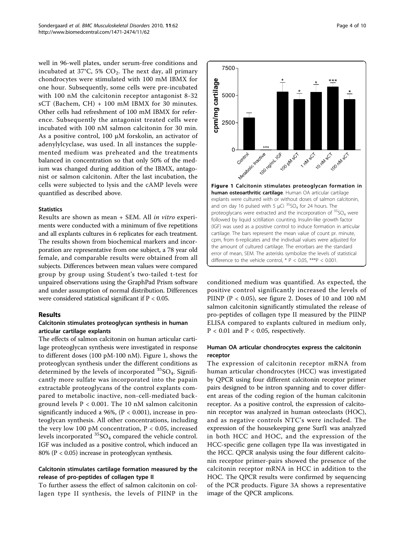well in 96-well plates, under serum-free conditions and incubated at 37°C, 5%  $CO<sub>2</sub>$ . The next day, all primary chondrocytes were stimulated with 100 mM IBMX for one hour. Subsequently, some cells were pre-incubated with 100 nM the calcitonin receptor antagonist 8-32 sCT (Bachem, CH) + 100 mM IBMX for 30 minutes. Other cells had refreshment of 100 mM IBMX for reference. Subsequently the antagonist treated cells were incubated with 100 nM salmon calcitonin for 30 min. As a positive control, 100 μM forskolin, an activator of adenylylcyclase, was used. In all instances the supplemented medium was preheated and the treatments balanced in concentration so that only 50% of the medium was changed during addition of the IBMX, antagonist or salmon calcitonin. After the last incubation, the cells were subjected to lysis and the cAMP levels were quantified as described above.

#### **Statistics**

Results are shown as mean + SEM. All in vitro experiments were conducted with a minimum of five repetitions and all explants cultures in 6 replicates for each treatment. The results shown from biochemical markers and incorporation are representative from one subject, a 78 year old female, and comparable results were obtained from all subjects. Differences between mean values were compared group by group using Student's two-tailed t-test for unpaired observations using the GraphPad Prism software and under assumption of normal distribution. Differences were considered statistical significant if  $P < 0.05$ .

#### Results

## Calcitonin stimulates proteoglycan synthesis in human articular cartilage explants

The effects of salmon calcitonin on human articular cartilage proteoglycan synthesis were investigated in response to different doses (100 pM-100 nM). Figure 1, shows the proteoglycan synthesis under the different conditions as determined by the levels of incorporated  ${}^{35}SO_4$ . Significantly more sulfate was incorporated into the papain extractable proteoglycans of the control explants compared to metabolic inactive, non-cell-mediated background levels P < 0.001. The 10 nM salmon calcitonin significantly induced a 96%,  $(P < 0.001)$ , increase in proteoglycan synthesis. All other concentrations, including the very low 100 pM concentration,  $P < 0.05$ , increased levels incorporated  ${}^{35}{\rm SO}_4$  compared the vehicle control. IGF was included as a positive control, which induced an 80% (P < 0.05) increase in proteoglycan synthesis.

## Calcitonin stimulates cartilage formation measured by the release of pro-peptides of collagen type II

To further assess the effect of salmon calcitonin on collagen type II synthesis, the levels of PIINP in the



conditioned medium was quantified. As expected, the positive control significantly increased the levels of PIINP ( $P < 0.05$ ), see figure [2.](#page-4-0) Doses of 10 and 100 nM salmon calcitonin significantly stimulated the release of pro-peptides of collagen type II measured by the PIINP ELISA compared to explants cultured in medium only,  $P < 0.01$  and  $P < 0.05$ , respectively.

## Human OA articular chondrocytes express the calcitonin receptor

The expression of calcitonin receptor mRNA from human articular chondrocytes (HCC) was investigated by QPCR using four different calcitonin receptor primer pairs designed to be intron spanning and to cover different areas of the coding region of the human calcitonin receptor. As a positive control, the expression of calcitonin receptor was analyzed in human osteoclasts (HOC), and as negative controls NTC's were included. The expression of the housekeeping gene Surf1 was analyzed in both HCC and HOC, and the expression of the HCC-specific gene collagen type IIa was investigated in the HCC. QPCR analysis using the four different calcitonin receptor primer-pairs showed the presence of the calcitonin receptor mRNA in HCC in addition to the HOC. The QPCR results were confirmed by sequencing of the PCR products. Figure [3A](#page-5-0) shows a representative image of the QPCR amplicons.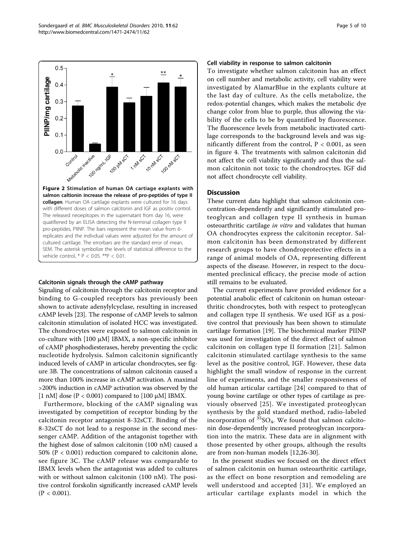<span id="page-4-0"></span>

#### Calcitonin signals through the cAMP pathway

Signaling of calcitonin through the calcitonin receptor and binding to G-coupled receptors has previously been shown to activate adenylylcyclase, resulting in increased cAMP levels [[23](#page-8-0)]. The response of cAMP levels to salmon calcitonin stimulation of isolated HCC was investigated. The chondrocytes were exposed to salmon calcitonin in co-culture with [100 μM] IBMX, a non-specific inhibitor of cAMP phosphodiesterases, hereby preventing the cyclic nucleotide hydrolysis. Salmon calcitonin significantly induced levels of cAMP in articular chondrocytes, see figure [3B.](#page-5-0) The concentrations of salmon calcitonin caused a more than 100% increase in cAMP activation. A maximal >200% induction in cAMP activation was observed by the [1 nM] dose ( $P < 0.001$ ) compared to [100  $\mu$ M] IBMX.

Furthermore, blocking of the cAMP signaling was investigated by competition of receptor binding by the calcitonin receptor antagonist 8-32sCT. Binding of the 8-32sCT do not lead to a response in the second messenger cAMP. Addition of the antagonist together with the highest dose of salmon calcitonin (100 nM) caused a 50% (P < 0.001) reduction compared to calcitonin alone, see figure [3C.](#page-5-0) The cAMP release was comparable to IBMX levels when the antagonist was added to cultures with or without salmon calcitonin (100 nM). The positive control forskolin significantly increased cAMP levels  $(P < 0.001)$ .

#### Cell viability in response to salmon calcitonin

To investigate whether salmon calcitonin has an effect on cell number and metabolic activity, cell viability were investigated by AlamarBlue in the explants culture at the last day of culture. As the cells metabolize, the redox-potential changes, which makes the metabolic dye change color from blue to purple, thus allowing the viability of the cells to be by quantified by fluorescence. The fluorescence levels from metabolic inactivated cartilage corresponds to the background levels and was significantly different from the control, P < 0.001, as seen in figure [4.](#page-6-0) The treatments with salmon calcitonin did not affect the cell viability significantly and thus the salmon calcitonin not toxic to the chondrocytes. IGF did not affect chondrocyte cell viability.

#### **Discussion**

These current data highlight that salmon calcitonin concentration-dependently and significantly stimulated proteoglycan and collagen type II synthesis in human osteoarthritic cartilage in vitro and validates that human OA chondrocytes express the calcitonin receptor. Salmon calcitonin has been demonstrated by different research groups to have chondroprotective effects in a range of animal models of OA, representing different aspects of the disease. However, in respect to the documented preclinical efficacy, the precise mode of action still remains to be evaluated.

The current experiments have provided evidence for a potential anabolic effect of calcitonin on human osteoarthritic chondrocytes, both with respect to proteoglycan and collagen type II synthesis. We used IGF as a positive control that previously has been shown to stimulate cartilage formation [[19\]](#page-8-0). The biochemical marker PIINP was used for investigation of the direct effect of salmon calcitonin on collagen type II formation [[21](#page-8-0)]. Salmon calcitonin stimulated cartilage synthesis to the same level as the positive control, IGF. However, these data highlight the small window of response in the current line of experiments, and the smaller responsiveness of old human articular cartilage [[24](#page-8-0)] compared to that of young bovine cartilage or other types of cartilage as previously observed [[25\]](#page-8-0). We investigated proteoglycan synthesis by the gold standard method, radio-labeled incorporation of  ${}^{35}SO_4$ . We found that salmon calcitonin dose-dependently increased proteoglycan incorporation into the matrix. These data are in alignment with those presented by other groups, although the results are from non-human models [\[12,26-30](#page-8-0)].

In the present studies we focused on the direct effect of salmon calcitonin on human osteoarthritic cartilage, as the effect on bone resorption and remodeling are well understood and accepted [[31\]](#page-8-0). We employed an articular cartilage explants model in which the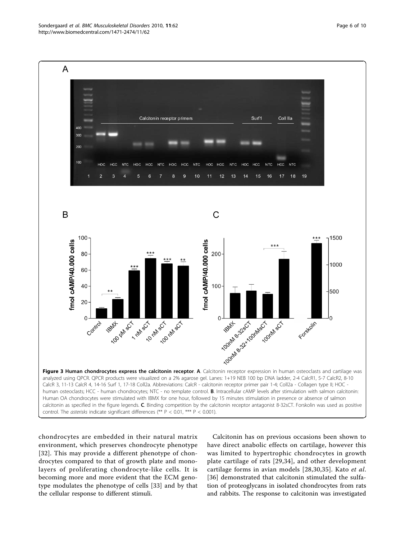<span id="page-5-0"></span>

chondrocytes are embedded in their natural matrix environment, which preserves chondrocyte phenotype [[32](#page-8-0)]. This may provide a different phenotype of chondrocytes compared to that of growth plate and monolayers of proliferating chondrocyte-like cells. It is becoming more and more evident that the ECM genotype modulates the phenotype of cells [\[33](#page-8-0)] and by that the cellular response to different stimuli.

Calcitonin has on previous occasions been shown to have direct anabolic effects on cartilage, however this was limited to hypertrophic chondrocytes in growth plate cartilage of rats [[29](#page-8-0),[34\]](#page-8-0), and other development cartilage forms in avian models [[28](#page-8-0),[30](#page-8-0),[35\]](#page-8-0). Kato et al. [[36](#page-8-0)] demonstrated that calcitonin stimulated the sulfation of proteoglycans in isolated chondrocytes from rats and rabbits. The response to calcitonin was investigated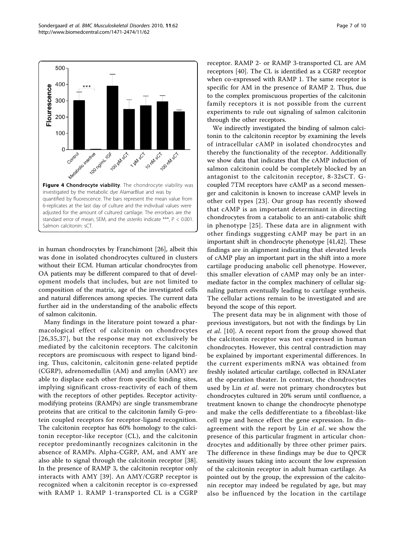<span id="page-6-0"></span>

in human chondrocytes by Franchimont [\[26](#page-8-0)], albeit this was done in isolated chondrocytes cultured in clusters without their ECM. Human articular chondrocytes from OA patients may be different compared to that of development models that includes, but are not limited to composition of the matrix, age of the investigated cells and natural differences among species. The current data further aid in the understanding of the anabolic effects of salmon calcitonin.

Many findings in the literature point toward a pharmacological effect of calcitonin on chondrocytes [[26](#page-8-0),[35](#page-8-0),[37\]](#page-8-0), but the response may not exclusively be mediated by the calcitonin receptors. The calcitonin receptors are promiscuous with respect to ligand binding. Thus, calcitonin, calcitonin gene-related peptide (CGRP), adrenomedullin (AM) and amylin (AMY) are able to displace each other from specific binding sites, implying significant cross-reactivity of each of them with the receptors of other peptides. Receptor activitymodifying proteins (RAMPs) are single transmembrane proteins that are critical to the calcitonin family G-protein coupled receptors for receptor-ligand recognition. The calcitonin receptor has 60% homology to the calcitonin receptor-like receptor (CL), and the calcitonin receptor predominantly recognizes calcitonin in the absence of RAMPs. Alpha-CGRP, AM, and AMY are also able to signal through the calcitonin receptor [\[38](#page-9-0)]. In the presence of RAMP 3, the calcitonin receptor only interacts with AMY [[39\]](#page-9-0). An AMY/CGRP receptor is recognized when a calcitonin receptor is co-expressed with RAMP 1. RAMP 1-transported CL is a CGRP receptor. RAMP 2- or RAMP 3-transported CL are AM receptors [[40\]](#page-9-0). The CL is identified as a CGRP receptor when co-expressed with RAMP 1. The same receptor is specific for AM in the presence of RAMP 2. Thus, due to the complex promiscuous properties of the calcitonin family receptors it is not possible from the current experiments to rule out signaling of salmon calcitonin through the other receptors.

We indirectly investigated the binding of salmon calcitonin to the calcitonin receptor by examining the levels of intracellular cAMP in isolated chondrocytes and thereby the functionality of the receptor. Additionally we show data that indicates that the cAMP induction of salmon calcitonin could be completely blocked by an antagonist to the calcitonin receptor, 8-32sCT. Gcoupled 7TM receptors have cAMP as a second messenger and calcitonin is known to increase cAMP levels in other cell types [[23](#page-8-0)]. Our group has recently showed that cAMP is an important determinant in directing chondrocytes from a catabolic to an anti-catabolic shift in phenotype [[25\]](#page-8-0). These data are in alignment with other findings suggesting cAMP may be part in an important shift in chondrocyte phenotype [[41,42\]](#page-9-0). These findings are in alignment indicating that elevated levels of cAMP play an important part in the shift into a more cartilage producing anabolic cell phenotype. However, this smaller elevation of cAMP may only be an intermediate factor in the complex machinery of cellular signaling pattern eventually leading to cartilage synthesis. The cellular actions remain to be investigated and are beyond the scope of this report.

The present data may be in alignment with those of previous investigators, but not with the findings by Lin et al. [[10](#page-8-0)]. A recent report from the group showed that the calcitonin receptor was not expressed in human chondrocytes. However, this central contradiction may be explained by important experimental differences. In the current experiments mRNA was obtained from freshly isolated articular cartilage, collected in RNALater at the operation theater. In contrast, the chondrocytes used by Lin *et al.* were not primary chondrocytes but chondrocytes cultured in 20% serum until confluence, a treatment known to change the chondrocyte phenotype and make the cells dedifferentiate to a fibroblast-like cell type and hence effect the gene expression. In disagreement with the report by Lin *et al*. we show the presence of this particular fragment in articular chondrocytes and additionally by three other primer pairs. The difference in these findings may be due to QPCR sensitivity issues taking into account the low expression of the calcitonin receptor in adult human cartilage. As pointed out by the group, the expression of the calcitonin receptor may indeed be regulated by age, but may also be influenced by the location in the cartilage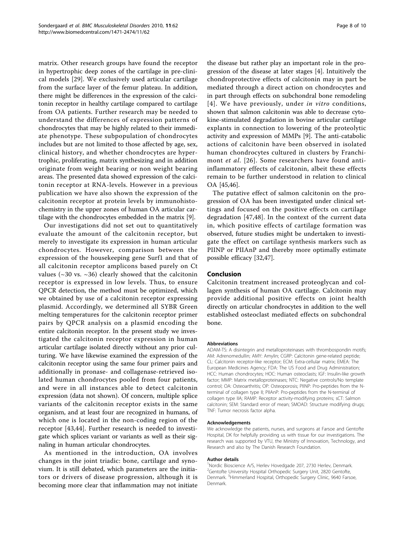matrix. Other research groups have found the receptor in hypertrophic deep zones of the cartilage in pre-clinical models [[29\]](#page-8-0). We exclusively used articular cartilage from the surface layer of the femur plateau. In addition, there might be differences in the expression of the calcitonin receptor in healthy cartilage compared to cartilage from OA patients. Further research may be needed to understand the differences of expression patterns of chondrocytes that may be highly related to their immediate phenotype. These subpopulation of chondrocytes includes but are not limited to those affected by age, sex, clinical history, and whether chondrocytes are hypertrophic, proliferating, matrix synthesizing and in addition originate from weight bearing or non weight bearing areas. The presented data showed expression of the calcitonin receptor at RNA-levels. However in a previous publication we have also shown the expression of the calcitonin receptor at protein levels by immunohistochemistry in the upper zones of human OA articular cartilage with the chondrocytes embedded in the matrix [\[9](#page-8-0)].

Our investigations did not set out to quantitatively evaluate the amount of the calcitonin receptor, but merely to investigate its expression in human articular chondrocytes. However, comparison between the expression of the housekeeping gene Surf1 and that of all calcitonin receptor amplicons based purely on Ct values ( $\sim$ 30 vs.  $\sim$ 36) clearly showed that the calcitonin receptor is expressed in low levels. Thus, to ensure QPCR detection, the method must be optimized, which we obtained by use of a calcitonin receptor expressing plasmid. Accordingly, we determined all SYBR Green melting temperatures for the calcitonin receptor primer pairs by QPCR analysis on a plasmid encoding the entire calcitonin receptor. In the present study we investigated the calcitonin receptor expression in human articular cartilage isolated directly without any prior culturing. We have likewise examined the expression of the calcitonin receptor using the same four primer pairs and additionally in pronase- and collagenase-retrieved isolated human chondrocytes pooled from four patients, and were in all instances able to detect calcitonin expression (data not shown). Of concern, multiple splice variants of the calcitonin receptor exists in the same organism, and at least four are recognized in humans, of which one is located in the non-coding region of the receptor [[43,44](#page-9-0)]. Further research is needed to investigate which splices variant or variants as well as their signaling in human articular chondrocytes.

As mentioned in the introduction, OA involves changes in the joint triadic: bone, cartilage and synovium. It is still debated, which parameters are the initiators or drivers of disease progression, although it is becoming more clear that inflammation may not initiate

the disease but rather play an important role in the progression of the disease at later stages [\[4](#page-8-0)]. Intuitively the chondroprotective effects of calcitonin may in part be mediated through a direct action on chondrocytes and in part through effects on subchondral bone remodeling [[4\]](#page-8-0). We have previously, under in vitro conditions, shown that salmon calcitonin was able to decrease cytokine-stimulated degradation in bovine articular cartilage explants in connection to lowering of the proteolytic activity and expression of MMPs [[9](#page-8-0)]. The anti-catabolic actions of calcitonin have been observed in isolated human chondrocytes cultured in clusters by Franchi-mont et al. [[26\]](#page-8-0). Some researchers have found antiinflammatory effects of calcitonin, albeit these effects remain to be further understood in relation to clinical OA [[45](#page-9-0),[46](#page-9-0)].

The putative effect of salmon calcitonin on the progression of OA has been investigated under clinical settings and focused on the positive effects on cartilage degradation [[47,48](#page-9-0)]. In the context of the current data in, which positive effects of cartilage formation was observed, future studies might be undertaken to investigate the effect on cartilage synthesis markers such as PIINP or PIIAnP and thereby more optimally estimate possible efficacy [[32,](#page-8-0)[47](#page-9-0)].

## Conclusion

Calcitonin treatment increased proteoglycan and collagen synthesis of human OA cartilage. Calcitonin may provide additional positive effects on joint health directly on articular chondrocytes in addition to the well established osteoclast mediated effects on subchondral bone.

#### Abbreviations

ADAM-TS: A disintegrin and metalloproteinases with thrombospondin motifs; AM: Adrenomedullin; AMY: Amylin; CGRP: Calcitonin gene-related peptide; CL: Calcitonin receptor-like receptor; ECM: Extra-cellular matrix; EMEA: The European Medicines Agency; FDA: The US Food and Drug Administration; HCC: Human chondrocytes; HOC: Human osteoclasts; IGF: Insulin-like growth factor; MMP: Matrix metalloproteinases; NTC: Negative controls/No template control; OA: Osteoarthritis; OP: Osteoporosis; PIINP: Pro-peptides from the Nterminal of collagen type II; PIIAnP: Pro-peptides from the N-terminal of collagen type IIA; RAMP: Receptor activity-modifying proteins; sCT: Salmon calcitonin; SEM: Standard error of mean; SMOAD: Structure modifying drugs; TNF: Tumor necrosis factor alpha.

#### Acknowledgements

We acknowledge the patients, nurses, and surgeons at Farsoe and Gentofte Hospital, DK for helpfully providing us with tissue for our investigations. The research was supported by VTU, the Ministry of Innovation, Technology, and Research and also by The Danish Research Foundation.

#### Author details

<sup>1</sup>Nordic Bioscience A/S, Herlev Hovedgade 207, 2730 Herlev, Denmark <sup>2</sup>Gentofte University Hospital Orthopedic Surgery Unit, 2820 Gentofte, Denmark. <sup>3</sup>Himmerland Hospital, Orthopedic Surgery Clinic, 9640 Farsoe, Denmark.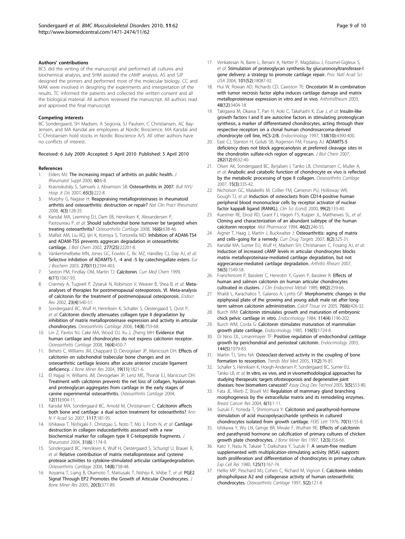#### <span id="page-8-0"></span>Authors' contributions

BCS did the writing of the manuscript and performed all cultures and biochemical analysis, and SHM assisted the cAMP analysis. AS and SJP designed the primers and performed most of the molecular biology. CC and MAK were involved in designing the experiments and interpretation of the results. TC informed the patients and collected the written consent and all the biological material. All authors reviewed the manuscript. All authors read and approved the final manuscript.

#### Competing interests

BC Sondergaard, SH Madsen, A Segovia, SJ Paulsen, C Christiansen, AC Bay-Jensen, and MA Karsdal are employees at Nordic Bioscience. MA Karsdal and C Christiansen hold stocks in Nordic Bioscience A/S. All other authors have no conflicts of interest.

#### Received: 6 July 2009 Accepted: 5 April 2010 Published: 5 April 2010

#### References

- 1. Elders MJ: [The increasing impact of arthritis on public health.](http://www.ncbi.nlm.nih.gov/pubmed/11032095?dopt=Abstract) J Rheumatol Suppl 2000, 60:6-8.
- 2. Krasnokutsky S, Samuels J, Abramson SB: [Osteoarthritis in 2007.](http://www.ncbi.nlm.nih.gov/pubmed/17922674?dopt=Abstract) Bull NYU Hosp Jt Dis 2007, 65(3):222-8.
- 3. Murphy G, Nagase H: [Reappraising metalloproteinases in rheumatoid](http://www.ncbi.nlm.nih.gov/pubmed/18253109?dopt=Abstract) [arthritis and osteoarthritis: destruction or repair?](http://www.ncbi.nlm.nih.gov/pubmed/18253109?dopt=Abstract) Nat Clin Pract Rheumatol 2008, 4(3):128-35.
- 4. Karsdal MA, Leeming DJ, Dam EB, Henriksen K, Alexandersen P, Pastoureau P, et al: [Should subchondral bone turnover be targeted when](http://www.ncbi.nlm.nih.gov/pubmed/18362080?dopt=Abstract) [treating osteoarthritis?](http://www.ncbi.nlm.nih.gov/pubmed/18362080?dopt=Abstract) Osteoarthritis Cartilage 2008, 16(6):638-46.
- Malfait AM, Liu RQ, Ijiri K, Komiya S, Tortorella MD: [Inhibition of ADAM-TS4](http://www.ncbi.nlm.nih.gov/pubmed/11956193?dopt=Abstract) [and ADAM-TS5 prevents aggrecan degradation in osteoarthritic](http://www.ncbi.nlm.nih.gov/pubmed/11956193?dopt=Abstract) [cartilage.](http://www.ncbi.nlm.nih.gov/pubmed/11956193?dopt=Abstract) J Biol Chem 2002, 277(25):22201-8.
- 6. Vankemmelbeke MN, Jones GC, Fowles C, Ilic MZ, Handley CJ, Day AJ, et al: [Selective inhibition of ADAMTS-1, -4 and -5 by catechingallate esters.](http://www.ncbi.nlm.nih.gov/pubmed/12755694?dopt=Abstract) Eur J Biochem 2003, 270(11):2394-403.
- 7. Sexton PM, Findlay DM, Martin TJ: [Calcitonin.](http://www.ncbi.nlm.nih.gov/pubmed/10519914?dopt=Abstract) Curr Med Chem 1999, 6(11):1067-93.
- Cranney A, Tugwell P, Zytaruk N, Robinson V, Weaver B, Shea B, et al: [Meta](http://www.ncbi.nlm.nih.gov/pubmed/12202469?dopt=Abstract)[analyses of therapies for postmenopausal osteoporosis. VI. Meta-analysis](http://www.ncbi.nlm.nih.gov/pubmed/12202469?dopt=Abstract) [of calcitonin for the treatment of postmenopausal osteoporosis.](http://www.ncbi.nlm.nih.gov/pubmed/12202469?dopt=Abstract) Endocr Rev 2002, 23(4):540-51.
- Sondergaard BC, Wulf H, Henriksen K, Schaller S, Oestergaard S, Qvist P, et al: [Calcitonin directly attenuates collagen type II degradation by](http://www.ncbi.nlm.nih.gov/pubmed/16549372?dopt=Abstract) [inhibition of matrix metalloproteinase expression and activity in articular](http://www.ncbi.nlm.nih.gov/pubmed/16549372?dopt=Abstract) [chondrocytes.](http://www.ncbi.nlm.nih.gov/pubmed/16549372?dopt=Abstract) Osteoarthritis Cartilage 2006, 14(8):759-68.
- 10. Lin Z, Pavlos NJ, Cake MA, Wood DJ, Xu J, Zheng MH: [Evidence that](http://www.ncbi.nlm.nih.gov/pubmed/17890110?dopt=Abstract) [human cartilage and chondrocytes do not express calcitonin receptor.](http://www.ncbi.nlm.nih.gov/pubmed/17890110?dopt=Abstract) Osteoarthritis Cartilage 2008, 16(4):450-7.
- 11. Behets C, Williams JM, Chappard D, Devogelaer JP, Manicourt DH: [Effects of](http://www.ncbi.nlm.nih.gov/pubmed/15476582?dopt=Abstract) [calcitonin on subchondral trabecular bone changes and on](http://www.ncbi.nlm.nih.gov/pubmed/15476582?dopt=Abstract) [osteoarthritic cartilage lesions after acute anterior cruciate ligament](http://www.ncbi.nlm.nih.gov/pubmed/15476582?dopt=Abstract) [deficiency.](http://www.ncbi.nlm.nih.gov/pubmed/15476582?dopt=Abstract) J Bone Miner Res 2004, 19(11):1821-6.
- 12. El Hajjaji H, Williams JM, Devogelaer JP, Lenz ME, Thonar EJ, Manicourt DH: [Treatment with calcitonin prevents the net loss of collagen, hyaluronan](http://www.ncbi.nlm.nih.gov/pubmed/15501406?dopt=Abstract) [and proteoglycan aggregates from cartilage in the early stages of](http://www.ncbi.nlm.nih.gov/pubmed/15501406?dopt=Abstract) [canine experimental osteoarthritis.](http://www.ncbi.nlm.nih.gov/pubmed/15501406?dopt=Abstract) Osteoarthritis Cartilage 2004, 12(11):904-11.
- 13. Karsdal MA, Sondergaard BC, Arnold M, Christiansen C: [Calcitonin affects](http://www.ncbi.nlm.nih.gov/pubmed/18056043?dopt=Abstract) [both bone and cartilage: a dual action treatment for osteoarthritis?](http://www.ncbi.nlm.nih.gov/pubmed/18056043?dopt=Abstract) Ann N Y Acad Sci 2007, 1117:181-95.
- 14. Ishikawa T, Nishigaki F, Christgau S, Noto T, Mo J, From N, et al: [Cartilage](http://www.ncbi.nlm.nih.gov/pubmed/15170932?dopt=Abstract) [destruction in collagen inducedarthritis assessed with a new](http://www.ncbi.nlm.nih.gov/pubmed/15170932?dopt=Abstract) [biochemical marker for collagen type II C-telopeptide fragments.](http://www.ncbi.nlm.nih.gov/pubmed/15170932?dopt=Abstract) J Rheumatol 2004, 31(6):1174-9.
- 15. Sondergaard BC, Henriksen K, Wulf H, Oestergaard S, Schurigt U, Brauer R, et al: [Relative contribution of matrix metalloprotease and cysteine](http://www.ncbi.nlm.nih.gov/pubmed/16563811?dopt=Abstract) [protease activities to cytokine-stimulated articular cartilagedegradation.](http://www.ncbi.nlm.nih.gov/pubmed/16563811?dopt=Abstract) Osteoarthritis Cartilage 2006, 14(8):738-48.
- 16. Aoyama T, Liang B, Okamoto T, Matsusaki T, Nishijo K, Ishibe T, et al: [PGE2](http://www.ncbi.nlm.nih.gov/pubmed/15746982?dopt=Abstract) [Signal Through EP2 Promotes the Growth of Articular Chondrocytes.](http://www.ncbi.nlm.nih.gov/pubmed/15746982?dopt=Abstract) J Bone Miner Res 2005, 20(3):377-89.
- 17. Venkatesan N, Barre L, Benani A, Netter P, Magdalou J, Fournel-Gigleux S, et al: [Stimulation of proteoglycan synthesis by glucuronosyltransferase-I](http://www.ncbi.nlm.nih.gov/pubmed/15601778?dopt=Abstract) [gene delivery: a strategy to promote cartilage repair.](http://www.ncbi.nlm.nih.gov/pubmed/15601778?dopt=Abstract) Proc Natl Acad Sci USA 2004, 101(52):18087-92.
- 18. Hui W, Rowan AD, Richards CD, Cawston TE: Oncostatin M in combination with tumor necrosis factor alpha induces cartilage damage and matrix metalloproteinase expression in vitro and in vivo. ArthritisRheum 2003, 48(12):3404-18.
- 19. Takigawa M, Okawa T, Pan H, Aoki C, Takahashi K, Zue J, et al: [Insulin-like](http://www.ncbi.nlm.nih.gov/pubmed/9322955?dopt=Abstract) [growth factors I and II are autocrine factors in stimulating proteoglycan](http://www.ncbi.nlm.nih.gov/pubmed/9322955?dopt=Abstract) [synthesis, a marker of differentiated chondrocytes, acting through their](http://www.ncbi.nlm.nih.gov/pubmed/9322955?dopt=Abstract) [respective receptors on a clonal human chondrosarcoma-derived](http://www.ncbi.nlm.nih.gov/pubmed/9322955?dopt=Abstract) [chondrocyte cell line, HCS-2/8.](http://www.ncbi.nlm.nih.gov/pubmed/9322955?dopt=Abstract) Endocrinology 1997, 138(10):4390-400.
- 20. East CJ, Stanton H, Golub SB, Rogerson FM, Fosang AJ: [ADAMTS-5](http://www.ncbi.nlm.nih.gov/pubmed/17255106?dopt=Abstract) [deficiency does not block aggrecanolysis at preferred cleavage sites in](http://www.ncbi.nlm.nih.gov/pubmed/17255106?dopt=Abstract) [the chondroitin sulfate-rich region of aggrecan.](http://www.ncbi.nlm.nih.gov/pubmed/17255106?dopt=Abstract) J Biol Chem 2007, 282(12):8632-40.
- 21. Olsen AK, Sondergaard BC, Byrjalsen I, Tanko LB, Christiansen C, Muller A, et al: [Anabolic and catabolic function of chondrocyte ex vivo is reflected](http://www.ncbi.nlm.nih.gov/pubmed/17045814?dopt=Abstract) [by the metabolic processing of type II collagen.](http://www.ncbi.nlm.nih.gov/pubmed/17045814?dopt=Abstract) Osteoarthritis Cartilage 2007, 15(3):335-42.
- 22. Nicholson GC, Malakellis M, Collier FM, Cameron PU, Holloway WR, Gough TL et al: [Induction of osteoclasts from CD14-positive human](http://www.ncbi.nlm.nih.gov/pubmed/10918046?dopt=Abstract) [peripheral blood mononuclear cells by receptor activator of nuclear](http://www.ncbi.nlm.nih.gov/pubmed/10918046?dopt=Abstract) [factor kappaB ligand \(RANKL\).](http://www.ncbi.nlm.nih.gov/pubmed/10918046?dopt=Abstract) Clin Sci (Lond) 2000, 99(2):133-40.
- 23. Kuestner RE, Elrod RD, Grant FJ, Hagen FS, Kuijper JL, Matthewes SL, et al: [Cloning and characterization of an abundant subtype of the human](http://www.ncbi.nlm.nih.gov/pubmed/8078488?dopt=Abstract) [calcitonin receptor.](http://www.ncbi.nlm.nih.gov/pubmed/8078488?dopt=Abstract) Mol Pharmacol 1994, 46(2):246-55.
- 24. Aigner T, Haag J, Martin J, Buckwalter J: [Osteoarthritis: aging of matrix](http://www.ncbi.nlm.nih.gov/pubmed/17305510?dopt=Abstract) and cells-[going for a remedy.](http://www.ncbi.nlm.nih.gov/pubmed/17305510?dopt=Abstract) Curr Drug Targets 2007, 8(2):325-31.
- 25. Karsdal MA, Sumer EU, Wulf H, Madsen SH, Christiansen C, Fosang AJ, et al: [Induction of increased cAMP levels in articular chondrocytes blocks](http://www.ncbi.nlm.nih.gov/pubmed/17469134?dopt=Abstract) [matrix metalloproteinase-mediated cartilage degradation, but not](http://www.ncbi.nlm.nih.gov/pubmed/17469134?dopt=Abstract) [aggrecanase-mediated cartilage degradation.](http://www.ncbi.nlm.nih.gov/pubmed/17469134?dopt=Abstract) Arthritis Rheum 2007, 56(5):1549-58.
- 26. Franchimont P, Bassleer C, Henrotin Y, Gysen P, Bassleer R: [Effects of](http://www.ncbi.nlm.nih.gov/pubmed/2753973?dopt=Abstract) [human and salmon calcitonin on human articular chondrocytes](http://www.ncbi.nlm.nih.gov/pubmed/2753973?dopt=Abstract) [cultivated in clusters.](http://www.ncbi.nlm.nih.gov/pubmed/2753973?dopt=Abstract) J Clin Endocrinol Metab 1989, 69(2):259-66.
- Khaldi L, Karachalios T, Galanos A, Lyritis GP: [Morphometric changes in the](http://www.ncbi.nlm.nih.gov/pubmed/15895285?dopt=Abstract) [epiphyseal plate of the growing and young adult male rat after long](http://www.ncbi.nlm.nih.gov/pubmed/15895285?dopt=Abstract)[term salmon calcitonin administration.](http://www.ncbi.nlm.nih.gov/pubmed/15895285?dopt=Abstract) Calcif Tissue Int 2005, 76(6):426-32.
- Burch WM: [Calcitonin stimulates growth and maturation of embryonic](http://www.ncbi.nlm.nih.gov/pubmed/6705735?dopt=Abstract) [chick pelvic cartilage in vitro.](http://www.ncbi.nlm.nih.gov/pubmed/6705735?dopt=Abstract) Endocrinology 1984, 114(4):1196-202.
- 29. Burch WM, Corda G: [Calcitonin stimulates maturation of mammalian](http://www.ncbi.nlm.nih.gov/pubmed/3987614?dopt=Abstract) [growth plate cartilage.](http://www.ncbi.nlm.nih.gov/pubmed/3987614?dopt=Abstract) Endocrinology 1985, 116(5):1724-8.
- 30. Di Nino DL, Linsenmayer TF: [Positive regulation of endochondral cartilage](http://www.ncbi.nlm.nih.gov/pubmed/12697705?dopt=Abstract) [growth by perichondrial and periosteal calcitonin.](http://www.ncbi.nlm.nih.gov/pubmed/12697705?dopt=Abstract) Endocrinology 2003, 144(5):1979-83.
- 31. Martin TJ, Sims NA: [Osteoclast-derived activity in the coupling of bone](http://www.ncbi.nlm.nih.gov/pubmed/15694870?dopt=Abstract) [formation to resorption.](http://www.ncbi.nlm.nih.gov/pubmed/15694870?dopt=Abstract) Trends Mol Med 2005, 11(2):76-81.
- 32. Schaller S, Henriksen K, Hoegh-Andersen P, Sondergaard BC, Sumer EU, Tanko LB, et al: [In vitro, ex vivo, and in vivomethodological approaches for](http://www.ncbi.nlm.nih.gov/pubmed/16305312?dopt=Abstract) [studying therapeutic targets ofosteoporosis and degenerative joint](http://www.ncbi.nlm.nih.gov/pubmed/16305312?dopt=Abstract) [diseases: how biomarkers canassist?](http://www.ncbi.nlm.nih.gov/pubmed/16305312?dopt=Abstract) Assay Drug Dev Technol 2005, 3(5):553-80.
- 33. Fata JE, Werb Z, Bissell MJ: [Regulation of mammary gland branching](http://www.ncbi.nlm.nih.gov/pubmed/14680479?dopt=Abstract) [morphogenesis by the extracellular matrix and its remodeling enzymes.](http://www.ncbi.nlm.nih.gov/pubmed/14680479?dopt=Abstract) Breast Cancer Res 2004, 6(1):1-11.
- 34. Suzuki F, Yoneda T, Shimomura Y: [Calcitonin and parathyroid-hormone](http://www.ncbi.nlm.nih.gov/pubmed/136366?dopt=Abstract) [stimulation of acid mucopolysaccharide synthesis in cultured](http://www.ncbi.nlm.nih.gov/pubmed/136366?dopt=Abstract) [chondrocytes isolated from growth cartilage.](http://www.ncbi.nlm.nih.gov/pubmed/136366?dopt=Abstract) FEBS Lett 1976, 70(1):155-8.
- 35. Ishikawa Y, Wu LN, Genge BR, Mwale F, Wuthier RE: [Effects of calcitonin](http://www.ncbi.nlm.nih.gov/pubmed/9076578?dopt=Abstract) [and parathyroid hormone on calcification of primary cultures of chicken](http://www.ncbi.nlm.nih.gov/pubmed/9076578?dopt=Abstract) [growth plate chondrocytes.](http://www.ncbi.nlm.nih.gov/pubmed/9076578?dopt=Abstract) J Bone Miner Res 1997, 12(3):356-66.
- 36. Kato Y, Nasu N, Takase T, Daikuhara Y, Suzuki F: [A serum-free medium](http://www.ncbi.nlm.nih.gov/pubmed/6444284?dopt=Abstract) [supplemented with multiplication-stimulating activity \(MSA\) supports](http://www.ncbi.nlm.nih.gov/pubmed/6444284?dopt=Abstract) [both proliferation and differentiation of chondrocytes in primary culture.](http://www.ncbi.nlm.nih.gov/pubmed/6444284?dopt=Abstract) Exp Cell Res 1980, 125(1):167-74.
- 37. Hellio MP, Peschard MJ, Cohen C, Richard M, Vignon E: [Calcitonin inhibits](http://www.ncbi.nlm.nih.gov/pubmed/9135823?dopt=Abstract) [phospholipase A2 and collagenase activity of human osteoarthritic](http://www.ncbi.nlm.nih.gov/pubmed/9135823?dopt=Abstract) [chondrocytes.](http://www.ncbi.nlm.nih.gov/pubmed/9135823?dopt=Abstract) Osteoarthritis Cartilage 1997, 5(2):121-8.